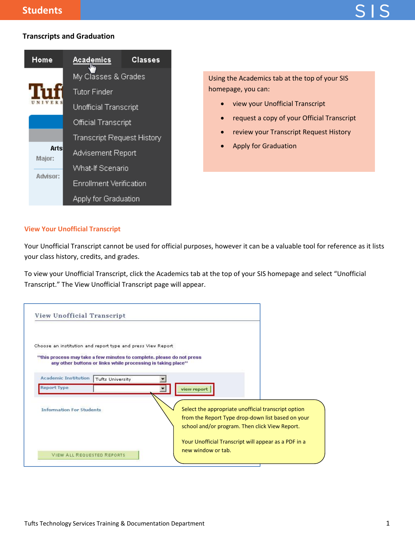# **Transcripts and Graduation**



Using the Academics tab at the top of your SIS homepage, you can:

- view your Unofficial Transcript
- request a copy of your Official Transcript
- review your Transcript Request History
- Apply for Graduation

## **View Your Unofficial Transcript**

Your Unofficial Transcript cannot be used for official purposes, however it can be a valuable tool for reference as it lists your class history, credits, and grades.

To view your Unofficial Transcript, click the Academics tab at the top of your SIS homepage and select "Unofficial Transcript." The View Unofficial Transcript page will appear.

| View Unofficial Transcript                                                                                                                    |                                                                                                                                                             |
|-----------------------------------------------------------------------------------------------------------------------------------------------|-------------------------------------------------------------------------------------------------------------------------------------------------------------|
| Choose an institution and report type and press View Report<br>** this process may take a few minutes to complete, please do not press        |                                                                                                                                                             |
| any other buttons or links while processing is taking place**<br><b>Academic Institution</b><br><b>Tufts University</b><br><b>Report Type</b> |                                                                                                                                                             |
| <b>Information For Students</b>                                                                                                               | view report<br>Select the appropriate unofficial transcript option                                                                                          |
|                                                                                                                                               | from the Report Type drop-down list based on your<br>school and/or program. Then click View Report.<br>Your Unofficial Transcript will appear as a PDF in a |
| <b>VIEW ALL REQUESTED REPORTS</b>                                                                                                             | new window or tab.                                                                                                                                          |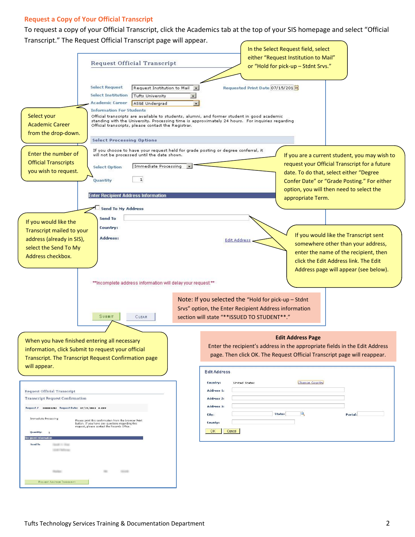## **Request a Copy of Your Official Transcript**

To request a copy of your Official Transcript, click the Academics tab at the top of your SIS homepage and select "Official Transcript." The Request Official Transcript page will appear.

| mansempt. The nequest onneign mansempt page will app<br><b>Request Official Transcript</b>                                                                                                                                                                                                                                                                                                                                                                                                                                                                                                                         | In the Select Request field, select<br>either "Request Institution to Mail"<br>or "Hold for pick-up - Stdnt Srvs."                                                                                                                                                                                                                                                                    |
|--------------------------------------------------------------------------------------------------------------------------------------------------------------------------------------------------------------------------------------------------------------------------------------------------------------------------------------------------------------------------------------------------------------------------------------------------------------------------------------------------------------------------------------------------------------------------------------------------------------------|---------------------------------------------------------------------------------------------------------------------------------------------------------------------------------------------------------------------------------------------------------------------------------------------------------------------------------------------------------------------------------------|
| <b>Select Request</b><br>Request Institution to Mail<br><b>Select Institution</b><br>Tufts University<br>Academic Career<br>AS&E Undergrad<br><b>Information For Students</b><br>Select your<br><b>Academic Career</b><br>Official transcripts, please contact the Registrar.<br>from the drop-down.<br><b>Select Processing Options</b>                                                                                                                                                                                                                                                                           | Requested Print Date 07/15/201 31<br>Official transcripts are available to students, alumni, and former student in good academic<br>standing with the University. Processing time is approximately 24 hours. For inquiries regarding                                                                                                                                                  |
| If you choose to have your request held for grade posting or degree conferral, it<br>Enter the number of<br>will not be processed until the date shown.<br><b>Official Transcripts</b><br>Immediate Processing<br><b>Select Option</b><br>you wish to request.<br>${\bf 1}$<br>Quantity<br><b>Enter Recipient Address Information</b>                                                                                                                                                                                                                                                                              | If you are a current student, you may wish to<br>request your Official Transcript for a future<br>date. To do that, select either "Degree<br>Confer Date" or "Grade Posting." For either<br>option, you will then need to select the<br>appropriate Term.                                                                                                                             |
| <b>Send To My Address</b><br>Send To<br>If you would like the<br>Country:<br>Transcript mailed to your<br>Address:<br>address (already in SIS),<br>select the Send To My<br>Address checkbox.<br>**Incomplete address information will delay your request.**<br><b>SUBMIT</b><br>CLEAR                                                                                                                                                                                                                                                                                                                             | If you would like the Transcript sent<br>Edit Address<br>somewhere other than your address,<br>enter the name of the recipient, then<br>click the Edit Address link. The Edit<br>Address page will appear (see below).<br>Note: If you selected the "Hold for pick-up - Stdnt<br>Srvs" option, the Enter Recipient Address information<br>section will state "**ISSUED TO STUDENT**." |
| When you have finished entering all necessary<br>information, click Submit to request your official<br>Transcript. The Transcript Request Confirmation page<br>will appear.<br><b>Request Official Transcript</b><br><b>Transcript Request Confirmation</b><br>000001282 Request Date: 07/15/2013 A-OFF<br>Request #<br>Immediate Processing<br>Please print this confirmation from the browser Print<br>button. If you have any questions regarding this<br>request, please contact the Records Office.<br>Quantity:<br>$\mathbf{1}$<br><b>Recipient Infor</b><br>Send To<br><b>HOURS IN HING</b><br>199819881115 | <b>Edit Address Page</b><br>Enter the recipient's address in the appropriate fields in the Edit Address<br>page. Then click OK. The Request Official Transcript page will reappear.<br><b>Edit Address</b><br>Change Country<br>Country:<br><b>United States</b><br>Address 1:<br>Address 2:<br>Address 3:<br>State:<br>Postal:<br>City:<br>County:<br>OK<br>Cancel                   |
| Rosten:<br>1953.91<br>REQUEST ANOTHER TRANSCRIPT                                                                                                                                                                                                                                                                                                                                                                                                                                                                                                                                                                   |                                                                                                                                                                                                                                                                                                                                                                                       |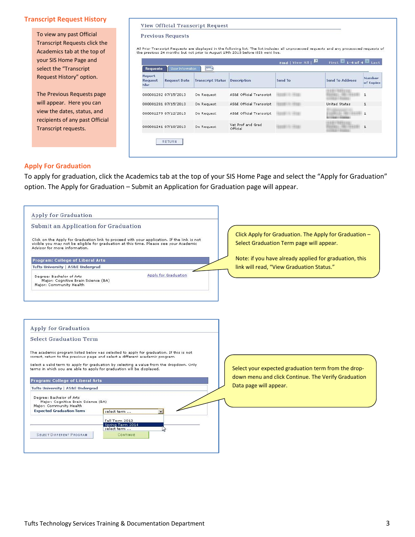## **Transcript Request History**

To view any past Official Transcript Requests click the Academics tab at the top of your SIS Home Page and select the "Transcript Request History" option.

The Previous Requests page will appear. Here you can view the dates, status, and recipients of any past Official Transcript requests.

#### View Official Transcript Request

#### **Previous Requests**

All Prior Transcript Requests are displayed in the following list. The list includes all unprocessed requests and any processsed requests of<br>the previous 24 months but not prior to August 19th 2013 before iSIS went live.

| <b>Report</b><br>Request<br><b>Nbr</b> | <b>Request Date</b>  | <b>Transcript Status</b> | <b>Description</b>            | Send To | <b>Send To Address</b> | <b>Number</b><br>of Copies |
|----------------------------------------|----------------------|--------------------------|-------------------------------|---------|------------------------|----------------------------|
|                                        | 000001282 07/15/2013 | On Request               | AS&E Official Transcript      |         |                        | $\mathbf{1}$               |
|                                        | 000001281 07/15/2013 | On Request               | AS&E Official Transcript      |         | <b>United States</b>   | $\mathbf{1}$               |
|                                        | 000001279 07/12/2013 | On Request               | AS&E Official Transcript      |         | USERICIA DEBICABLER    | $-1$                       |
|                                        | 000001241 07/10/2013 | On Request               | Vet Prof and Grad<br>Official |         |                        | $\mathbf{1}$               |

## **Apply For Graduation**

To apply for graduation, click the Academics tab at the top of your SIS Home Page and select the "Apply for Graduation" option. The Apply for Graduation – Submit an Application for Graduation page will appear.